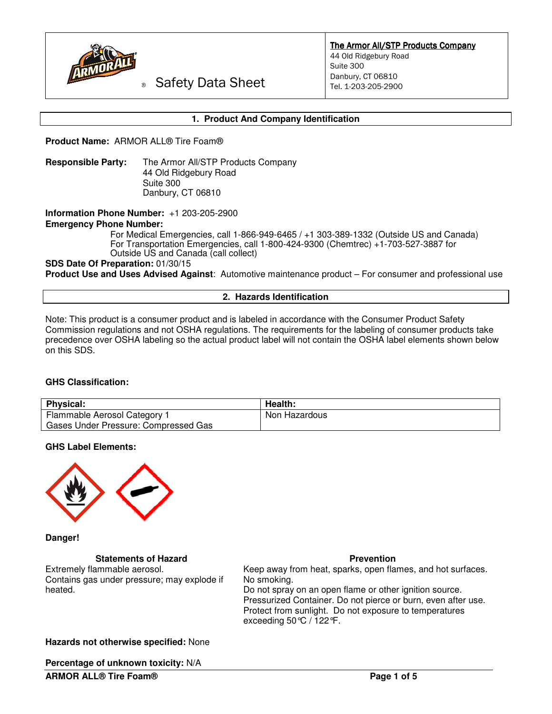

The Armor All/STP Products Company 44 Old Ridgebury Road Suite 300 Danbury, CT 06810 Tel. 1-203-205-2900

Safety Data Sheet

# **1. Product And Company Identification**

**Product Name:** ARMOR ALL® Tire Foam®

**Responsible Party:** The Armor All/STP Products Company 44 Old Ridgebury Road Suite 300 Danbury, CT 06810

**Information Phone Number:** +1 203-205-2900

**Emergency Phone Number:** 

For Medical Emergencies, call 1-866-949-6465 / +1 303-389-1332 (Outside US and Canada) For Transportation Emergencies, call 1-800-424-9300 (Chemtrec) +1-703-527-3887 for Outside US and Canada (call collect)

# **SDS Date Of Preparation:** 01/30/15

**Product Use and Uses Advised Against**: Automotive maintenance product – For consumer and professional use

#### **2. Hazards Identification**

Note: This product is a consumer product and is labeled in accordance with the Consumer Product Safety Commission regulations and not OSHA regulations. The requirements for the labeling of consumer products take precedence over OSHA labeling so the actual product label will not contain the OSHA label elements shown below on this SDS.

# **GHS Classification:**

| <b>Physical:</b>                     | Health:       |
|--------------------------------------|---------------|
| Flammable Aerosol Category 1         | Non Hazardous |
| Gases Under Pressure: Compressed Gas |               |

#### **GHS Label Elements:**



**Danger!** 

#### **Statements of Hazard**  Prevention **Prevention**

Extremely flammable aerosol. Contains gas under pressure; may explode if heated.

Keep away from heat, sparks, open flames, and hot surfaces. No smoking. Do not spray on an open flame or other ignition source. Pressurized Container. Do not pierce or burn, even after use. Protect from sunlight. Do not exposure to temperatures exceeding 50°C / 122°F.

#### **Hazards not otherwise specified:** None

**Percentage of unknown toxicity:** N/A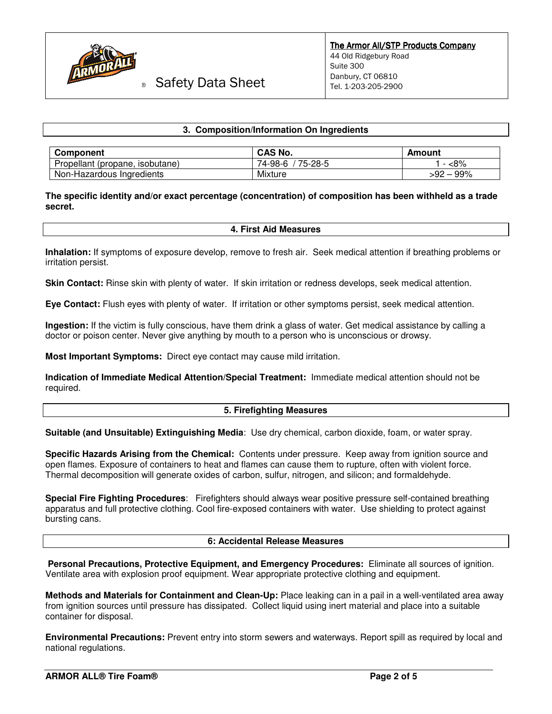

Safety Data Sheet

# **3. Composition/Information On Ingredients**

| <b>Component</b>                | <b>CAS No.</b>     | Amount        |  |
|---------------------------------|--------------------|---------------|--|
| Propellant (propane, isobutane) | 75-28-5<br>74-98-6 | <8%           |  |
| Non-Hazardous Ingredients       | Mixture            | $-99%$<br>-92 |  |

# **The specific identity and/or exact percentage (concentration) of composition has been withheld as a trade secret.**

### **4. First Aid Measures**

**Inhalation:** If symptoms of exposure develop, remove to fresh air. Seek medical attention if breathing problems or irritation persist.

**Skin Contact:** Rinse skin with plenty of water. If skin irritation or redness develops, seek medical attention.

**Eye Contact:** Flush eyes with plenty of water. If irritation or other symptoms persist, seek medical attention.

**Ingestion:** If the victim is fully conscious, have them drink a glass of water. Get medical assistance by calling a doctor or poison center. Never give anything by mouth to a person who is unconscious or drowsy.

**Most Important Symptoms:** Direct eye contact may cause mild irritation.

**Indication of Immediate Medical Attention/Special Treatment:** Immediate medical attention should not be required.

#### **5. Firefighting Measures**

**Suitable (and Unsuitable) Extinguishing Media**: Use dry chemical, carbon dioxide, foam, or water spray.

**Specific Hazards Arising from the Chemical:** Contents under pressure. Keep away from ignition source and open flames. Exposure of containers to heat and flames can cause them to rupture, often with violent force. Thermal decomposition will generate oxides of carbon, sulfur, nitrogen, and silicon; and formaldehyde.

**Special Fire Fighting Procedures**: Firefighters should always wear positive pressure self-contained breathing apparatus and full protective clothing. Cool fire-exposed containers with water. Use shielding to protect against bursting cans.

#### **6: Accidental Release Measures**

 **Personal Precautions, Protective Equipment, and Emergency Procedures:** Eliminate all sources of ignition. Ventilate area with explosion proof equipment. Wear appropriate protective clothing and equipment.

**Methods and Materials for Containment and Clean-Up:** Place leaking can in a pail in a well-ventilated area away from ignition sources until pressure has dissipated. Collect liquid using inert material and place into a suitable container for disposal.

**Environmental Precautions:** Prevent entry into storm sewers and waterways. Report spill as required by local and national regulations.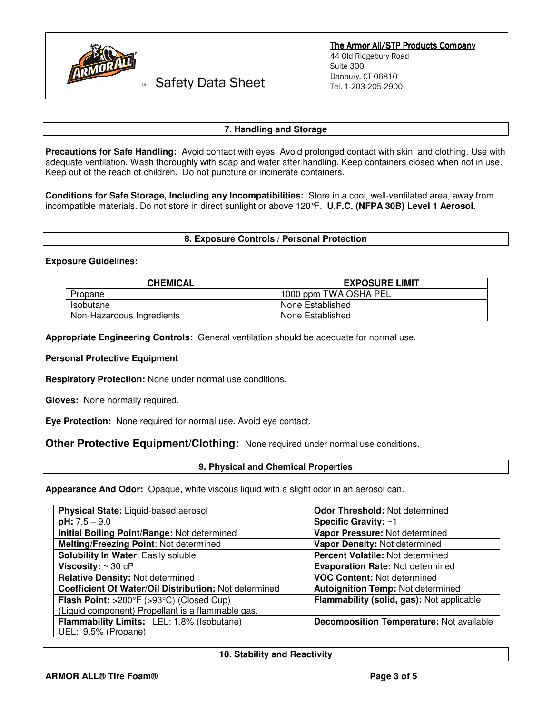

# ® Safety Data Sheet

# **7. Handling and Storage**

**Precautions for Safe Handling:** Avoid contact with eyes. Avoid prolonged contact with skin, and clothing. Use with adequate ventilation. Wash thoroughly with soap and water after handling. Keep containers closed when not in use. Keep out of the reach of children. Do not puncture or incinerate containers.

**Conditions for Safe Storage, Including any Incompatibilities:** Store in a cool, well-ventilated area, away from incompatible materials. Do not store in direct sunlight or above 120°F. **U.F.C. (NFPA 30B) Level 1 Aerosol.** 

# **8. Exposure Controls / Personal Protection**

# **Exposure Guidelines:**

| <b>CHEMICAL</b>           | <b>EXPOSURE LIMIT</b> |
|---------------------------|-----------------------|
| Propane                   | 1000 ppm TWA OSHA PEL |
| Isobutane                 | None Established      |
| Non-Hazardous Ingredients | None Established      |

**Appropriate Engineering Controls:** General ventilation should be adequate for normal use.

#### **Personal Protective Equipment**

**Respiratory Protection:** None under normal use conditions.

**Gloves:** None normally required.

**Eye Protection:** None required for normal use. Avoid eye contact.

**Other Protective Equipment/Clothing:** None required under normal use conditions.

#### **9. Physical and Chemical Properties**

**Appearance And Odor:** Opaque, white viscous liquid with a slight odor in an aerosol can.

| Physical State: Liquid-based aerosol                  | Odor Threshold: Not determined                  |
|-------------------------------------------------------|-------------------------------------------------|
| $pH: 7.5 - 9.0$                                       | Specific Gravity: ~1                            |
| Initial Boiling Point/Range: Not determined           | Vapor Pressure: Not determined                  |
| Melting/Freezing Point: Not determined                | Vapor Density: Not determined                   |
| Solubility In Water: Easily soluble                   | Percent Volatile: Not determined                |
| Viscosity: $\sim$ 30 cP                               | <b>Evaporation Rate: Not determined</b>         |
| <b>Relative Density: Not determined</b>               | <b>VOC Content: Not determined</b>              |
| Coefficient Of Water/Oil Distribution: Not determined | <b>Autoignition Temp: Not determined</b>        |
| Flash Point: >200°F (>93°C) (Closed Cup)              | Flammability (solid, gas): Not applicable       |
| (Liquid component) Propellant is a flammable gas.     |                                                 |
| Flammability Limits: LEL: 1.8% (Isobutane)            | <b>Decomposition Temperature: Not available</b> |
| UEL: 9.5% (Propane)                                   |                                                 |

# **10. Stability and Reactivity**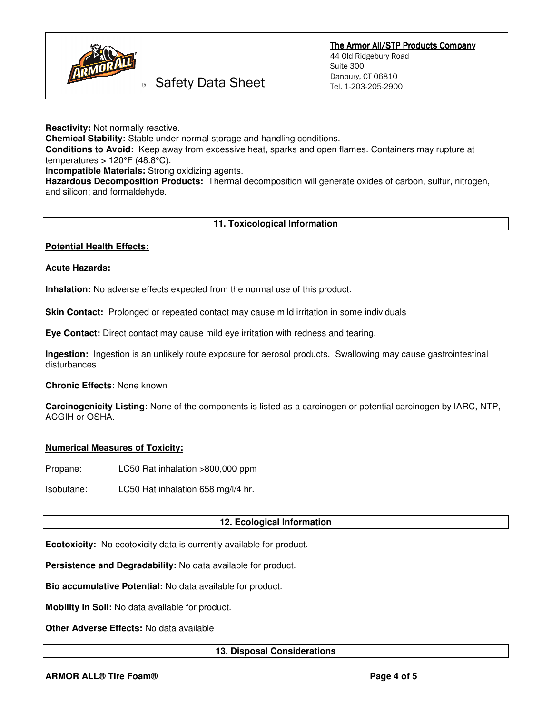

# Safety Data Sheet

**Reactivity:** Not normally reactive.

**Chemical Stability:** Stable under normal storage and handling conditions.

**Conditions to Avoid:** Keep away from excessive heat, sparks and open flames. Containers may rupture at temperatures > 120°F (48.8°C).

**Incompatible Materials:** Strong oxidizing agents.

**Hazardous Decomposition Products:** Thermal decomposition will generate oxides of carbon, sulfur, nitrogen, and silicon; and formaldehyde.

# **11. Toxicological Information**

# **Potential Health Effects:**

# **Acute Hazards:**

**Inhalation:** No adverse effects expected from the normal use of this product.

**Skin Contact:** Prolonged or repeated contact may cause mild irritation in some individuals

**Eye Contact:** Direct contact may cause mild eye irritation with redness and tearing.

**Ingestion:** Ingestion is an unlikely route exposure for aerosol products. Swallowing may cause gastrointestinal disturbances.

**Chronic Effects:** None known

**Carcinogenicity Listing:** None of the components is listed as a carcinogen or potential carcinogen by IARC, NTP, ACGIH or OSHA.

#### **Numerical Measures of Toxicity:**

Propane: LC50 Rat inhalation >800,000 ppm

Isobutane: LC50 Rat inhalation 658 mg/l/4 hr.

#### **12. Ecological Information**

**Ecotoxicity:** No ecotoxicity data is currently available for product.

**Persistence and Degradability:** No data available for product.

**Bio accumulative Potential:** No data available for product.

**Mobility in Soil:** No data available for product.

**Other Adverse Effects:** No data available

# **13. Disposal Considerations**